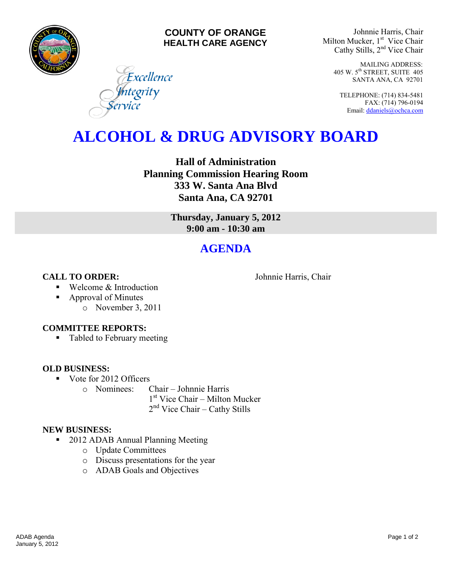

#### **COUNTY OF ORANGE HEALTH CARE AGENCY**

Excellence

ntegrity

Johnnie Harris, Chair Milton Mucker, 1<sup>st</sup> Vice Chair Cathy Stills, 2nd Vice Chair

> MAILING ADDRESS: 405 W. 5th STREET, SUITE 405 SANTA ANA, CA 92701

TELEPHONE: (714) 834-5481 FAX: (714) 796-0194 Email[: ddaniels@ochca.com](mailto:ddaniels@ochca.com)

## **ALCOHOL & DRUG ADVISORY BOARD**

**Hall of Administration Planning Commission Hearing Room 333 W. Santa Ana Blvd Santa Ana, CA 92701** 

> **Thursday, January 5, 2012 9:00 am - 10:30 am**

## **AGENDA**

**CALL TO ORDER:** Johnnie Harris, Chair

- Welcome & Introduction
- Approval of Minutes
	- o November 3, 2011

#### **COMMITTEE REPORTS:**

• Tabled to February meeting

### **OLD BUSINESS:**

Vote for 2012 Officers

o Nominees: Chair – Johnnie Harris

1 st Vice Chair – Milton Mucker 2<sup>nd</sup> Vice Chair – Cathy Stills

### **NEW BUSINESS:**

- 2012 ADAB Annual Planning Meeting
	- o Update Committees
	- o Discuss presentations for the year
	- o ADAB Goals and Objectives